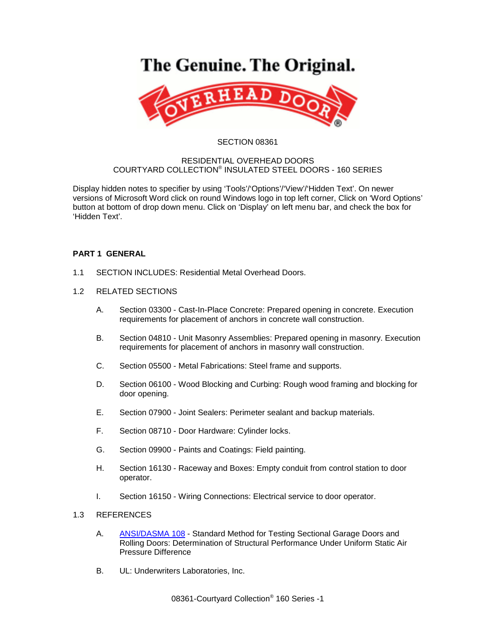# The Genuine. The Original.



#### SECTION 08361

#### RESIDENTIAL OVERHEAD DOORS COURTYARD COLLECTION® INSULATED STEEL DOORS - 160 SERIES

Display hidden notes to specifier by using 'Tools'/'Options'/'View'/'Hidden Text'. On newer versions of Microsoft Word click on round Windows logo in top left corner, Click on 'Word Options' button at bottom of drop down menu. Click on 'Display' on left menu bar, and check the box for 'Hidden Text'.

## **PART 1 GENERAL**

- 1.1 SECTION INCLUDES: Residential Metal Overhead Doors.
- 1.2 RELATED SECTIONS
	- A. Section 03300 Cast-In-Place Concrete: Prepared opening in concrete. Execution requirements for placement of anchors in concrete wall construction.
	- B. Section 04810 Unit Masonry Assemblies: Prepared opening in masonry. Execution requirements for placement of anchors in masonry wall construction.
	- C. Section 05500 Metal Fabrications: Steel frame and supports.
	- D. Section 06100 Wood Blocking and Curbing: Rough wood framing and blocking for door opening.
	- E. Section 07900 Joint Sealers: Perimeter sealant and backup materials.
	- F. Section 08710 Door Hardware: Cylinder locks.
	- G. Section 09900 Paints and Coatings: Field painting.
	- H. Section 16130 Raceway and Boxes: Empty conduit from control station to door operator.
	- I. Section 16150 Wiring Connections: Electrical service to door operator.

#### 1.3 REFERENCES

- A. [ANSI/DASMA 108](http://www.dasma.com/PDF/Publications/Standards/108-2005.pdf) Standard Method for Testing Sectional Garage Doors and Rolling Doors: Determination of Structural Performance Under Uniform Static Air Pressure Difference
- B. UL: Underwriters Laboratories, Inc.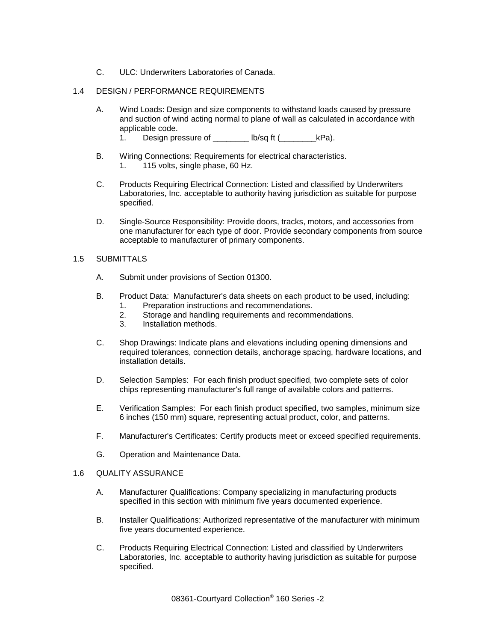C. ULC: Underwriters Laboratories of Canada.

## 1.4 DESIGN / PERFORMANCE REQUIREMENTS

- A. Wind Loads: Design and size components to withstand loads caused by pressure and suction of wind acting normal to plane of wall as calculated in accordance with applicable code.
	- 1. Design pressure of \_\_\_\_\_\_\_\_ lb/sq ft (\_\_\_\_\_\_\_\_\_\_kPa).
- B. Wiring Connections: Requirements for electrical characteristics. 1. 115 volts, single phase, 60 Hz.
- C. Products Requiring Electrical Connection: Listed and classified by Underwriters Laboratories, Inc. acceptable to authority having jurisdiction as suitable for purpose specified.
- D. Single-Source Responsibility: Provide doors, tracks, motors, and accessories from one manufacturer for each type of door. Provide secondary components from source acceptable to manufacturer of primary components.

#### 1.5 SUBMITTALS

- A. Submit under provisions of Section 01300.
- B. Product Data: Manufacturer's data sheets on each product to be used, including:
	- 1. Preparation instructions and recommendations.
	- 2. Storage and handling requirements and recommendations.
	- 3. Installation methods.
- C. Shop Drawings: Indicate plans and elevations including opening dimensions and required tolerances, connection details, anchorage spacing, hardware locations, and installation details.
- D. Selection Samples: For each finish product specified, two complete sets of color chips representing manufacturer's full range of available colors and patterns.
- E. Verification Samples: For each finish product specified, two samples, minimum size 6 inches (150 mm) square, representing actual product, color, and patterns.
- F. Manufacturer's Certificates: Certify products meet or exceed specified requirements.
- G. Operation and Maintenance Data.

#### 1.6 QUALITY ASSURANCE

- A. Manufacturer Qualifications: Company specializing in manufacturing products specified in this section with minimum five years documented experience.
- B. Installer Qualifications: Authorized representative of the manufacturer with minimum five years documented experience.
- C. Products Requiring Electrical Connection: Listed and classified by Underwriters Laboratories, Inc. acceptable to authority having jurisdiction as suitable for purpose specified.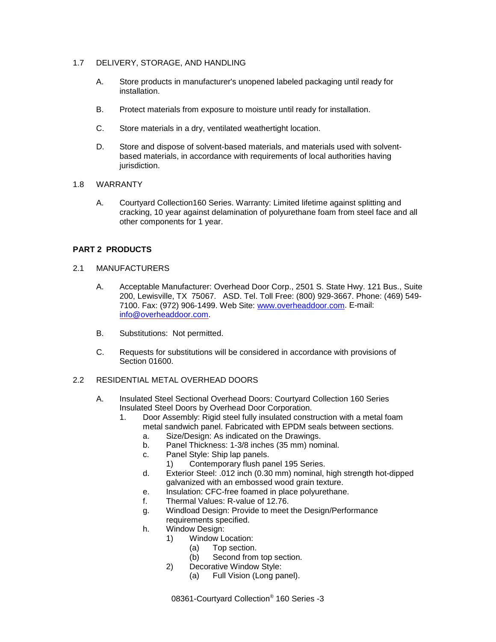### 1.7 DELIVERY, STORAGE, AND HANDLING

- A. Store products in manufacturer's unopened labeled packaging until ready for installation.
- B. Protect materials from exposure to moisture until ready for installation.
- C. Store materials in a dry, ventilated weathertight location.
- D. Store and dispose of solvent-based materials, and materials used with solventbased materials, in accordance with requirements of local authorities having jurisdiction.

#### 1.8 WARRANTY

A. Courtyard Collection160 Series. Warranty: Limited lifetime against splitting and cracking, 10 year against delamination of polyurethane foam from steel face and all other components for 1 year.

## **PART 2 PRODUCTS**

- 2.1 MANUFACTURERS
	- A. Acceptable Manufacturer: Overhead Door Corp., 2501 S. State Hwy. 121 Bus., Suite 200, Lewisville, TX 75067. ASD. Tel. Toll Free: (800) 929-3667. Phone: (469) 549- 7100. Fax: (972) 906-1499. Web Site: [www.overheaddoor.com.](http://www.overheaddoor.com/) E-mail: [info@overheaddoor.com.](mailto:info@overheaddoor.com)
	- B. Substitutions: Not permitted.
	- C. Requests for substitutions will be considered in accordance with provisions of Section 01600.

## 2.2 RESIDENTIAL METAL OVERHEAD DOORS

- A. Insulated Steel Sectional Overhead Doors: Courtyard Collection 160 Series Insulated Steel Doors by Overhead Door Corporation.
	- 1. Door Assembly: Rigid steel fully insulated construction with a metal foam metal sandwich panel. Fabricated with EPDM seals between sections.
		- a. Size/Design: As indicated on the Drawings.
		- b. Panel Thickness: 1-3/8 inches (35 mm) nominal.
		- c. Panel Style: Ship lap panels.
			- 1) Contemporary flush panel 195 Series.
		- d. Exterior Steel: .012 inch (0.30 mm) nominal, high strength hot-dipped galvanized with an embossed wood grain texture.
		- e. Insulation: CFC-free foamed in place polyurethane.
		- f. Thermal Values: R-value of 12.76.
		- g. Windload Design: Provide to meet the Design/Performance
		- requirements specified.
		- h. Window Design:
			- 1) Window Location:
				- (a) Top section.
				- (b) Second from top section.
				- 2) Decorative Window Style:
					- (a) Full Vision (Long panel).

08361-Courtyard Collection® 160 Series -3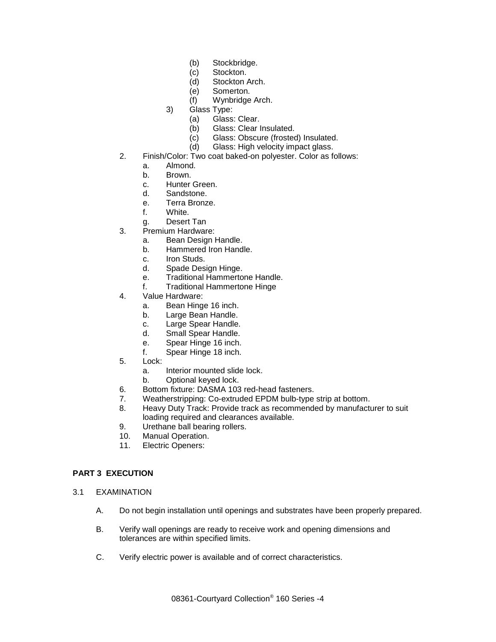- (b) Stockbridge.
- (c) Stockton.
- (d) Stockton Arch.
- (e) Somerton.
- (f) Wynbridge Arch.
- 3) Glass Type:
	- (a) Glass: Clear.
	- (b) Glass: Clear Insulated.
	- (c) Glass: Obscure (frosted) Insulated.<br>(d) Glass: High velocity impact glass.
	- Glass: High velocity impact glass.
- 2. Finish/Color: Two coat baked-on polyester. Color as follows:
	- a. Almond.
	- b. Brown.
	- c. Hunter Green.
	- d. Sandstone.
	- e. Terra Bronze.
	- f. White.
	- g. Desert Tan
- 3. Premium Hardware:
	- a. Bean Design Handle.
	- b. Hammered Iron Handle.
	- c. Iron Studs.
	- d. Spade Design Hinge.
	- e. Traditional Hammertone Handle.
	- f. Traditional Hammertone Hinge
- 4. Value Hardware:
	- a. Bean Hinge 16 inch.
	- b. Large Bean Handle.
	- c. Large Spear Handle.
	- d. Small Spear Handle.
	- e. Spear Hinge 16 inch.
	- f. Spear Hinge 18 inch.
- 5. Lock:
	- a. Interior mounted slide lock.
	- b. Optional keyed lock.
- 6. Bottom fixture: DASMA 103 red-head fasteners.
- 7. Weatherstripping: Co-extruded EPDM bulb-type strip at bottom.
- 8. Heavy Duty Track: Provide track as recommended by manufacturer to suit loading required and clearances available.
- 9. Urethane ball bearing rollers.
- 10. Manual Operation.<br>11. Electric Openers:
- Electric Openers:

## **PART 3 EXECUTION**

- 3.1 EXAMINATION
	- A. Do not begin installation until openings and substrates have been properly prepared.
	- B. Verify wall openings are ready to receive work and opening dimensions and tolerances are within specified limits.
	- C. Verify electric power is available and of correct characteristics.